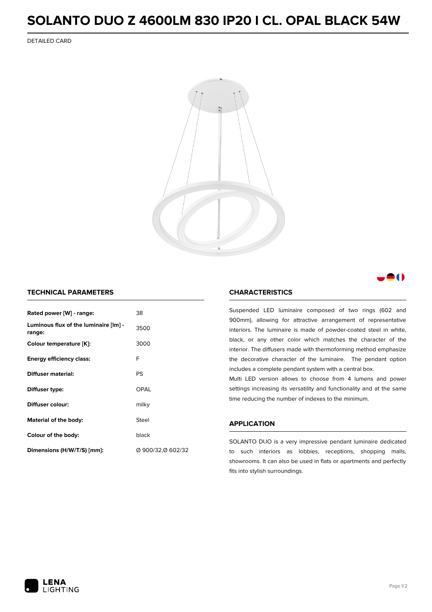## **SOLANTO DUO Z 4600LM 830 IP20 I CL. OPAL BLACK 54W**

DETAILED CARD



### M

#### **TECHNICAL PARAMETERS**

| Rated power [W] - range:                        | 38                |
|-------------------------------------------------|-------------------|
| Luminous flux of the luminaire [lm] -<br>range: | 3500              |
| Colour temperature [K]:                         | 3000              |
| <b>Energy efficiency class:</b>                 | F                 |
| Diffuser material:                              | PS                |
| Diffuser type:                                  | OPAL              |
| <b>Diffuser colour:</b>                         | milky             |
| Material of the body:                           | Steel             |
| Colour of the body:                             | black             |
| Dimensions (H/W/T/S) [mm]:                      | Ø 900/32,Ø 602/32 |

#### **CHARACTERISTICS**

Suspended LED luminaire composed of two rings (602 and 900mm), allowing for attractive arrangement of representative interiors. The luminaire is made of powder-coated steel in white, black, or any other color which matches the character of the interior. The diffusers made with thermoforming method emphasize the decorative character of the luminaire. The pendant option includes a complete pendant system with a central box.

Multi LED version allows to choose from 4 lumens and power settings increasing its versatility and functionality and at the same time reducing the number of indexes to the minimum.

#### **APPLICATION**

SOLANTO DUO is a very impressive pendant luminaire dedicated to such interiors as lobbies, receptions, shopping malls, showrooms. It can also be used in flats or apartments and perfectly fits into stylish surroundings.